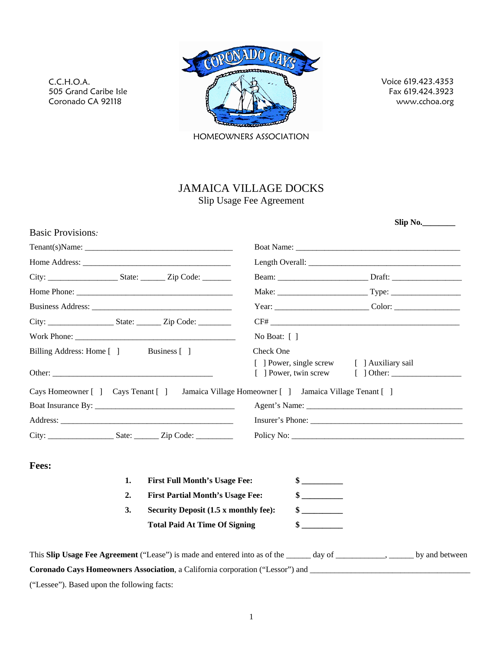

Voice 619.423.4353 Fax 619.424.3923 www.cchoa.org

 **Slip No.\_\_\_\_\_\_\_\_** 

HOMEOWNERS ASSOCIATION

# JAMAICA VILLAGE DOCKS

Slip Usage Fee Agreement

| <b>Basic Provisions.</b>               |    |                                                                                                                         |                                            |                             |  |  |
|----------------------------------------|----|-------------------------------------------------------------------------------------------------------------------------|--------------------------------------------|-----------------------------|--|--|
|                                        |    |                                                                                                                         |                                            |                             |  |  |
|                                        |    |                                                                                                                         |                                            |                             |  |  |
|                                        |    |                                                                                                                         |                                            |                             |  |  |
|                                        |    |                                                                                                                         |                                            |                             |  |  |
|                                        |    |                                                                                                                         |                                            |                             |  |  |
|                                        |    |                                                                                                                         |                                            |                             |  |  |
|                                        |    |                                                                                                                         | No Boat: $\lceil \ \rceil$                 |                             |  |  |
| Billing Address: Home [ ] Business [ ] |    |                                                                                                                         | Check One                                  |                             |  |  |
|                                        |    |                                                                                                                         | [ ] Power, single screw [ ] Auxiliary sail |                             |  |  |
|                                        |    | Cays Homeowner [ ] Cays Tenant [ ] Jamaica Village Homeowner [ ] Jamaica Village Tenant [ ]                             |                                            |                             |  |  |
|                                        |    |                                                                                                                         |                                            |                             |  |  |
|                                        |    |                                                                                                                         |                                            |                             |  |  |
|                                        |    | City: Sate: Zip Code:                                                                                                   |                                            |                             |  |  |
| Fees:                                  |    |                                                                                                                         |                                            |                             |  |  |
|                                        | 1. | <b>First Full Month's Usage Fee:</b>                                                                                    |                                            | $\frac{\text{S}}{\text{S}}$ |  |  |
|                                        | 2. | <b>First Partial Month's Usage Fee:</b><br>Security Deposit (1.5 x monthly fee):                                        |                                            |                             |  |  |
|                                        | 3. |                                                                                                                         |                                            | $\frac{\text{S}}{\text{S}}$ |  |  |
|                                        |    | <b>Total Paid At Time Of Signing</b>                                                                                    |                                            | $\sim$                      |  |  |
|                                        |    | This Slip Usage Fee Agreement ("Lease") is made and entered into as of the _____ day of _________, _____ by and between |                                            |                             |  |  |
|                                        |    | Coronado Cays Homeowners Association, a California corporation ("Lessor") and ________________________________          |                                            |                             |  |  |

("Lessee"). Based upon the following facts:

C.C.H.O.A.

505 Grand Caribe Isle Coronado CA 92118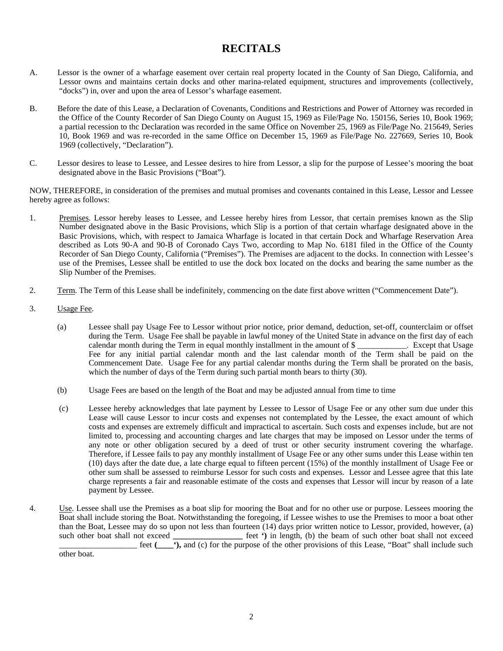# **RECITALS**

- A. Lessor is the owner of a wharfage easement over certain real property located in the County of San Diego, California, and Lessor owns and maintains certain docks and other marina-related equipment, structures and improvements (collectively, "docks") in, over and upon the area of Lessor's wharfage easement.
- B. Before the date of this Lease, a Declaration of Covenants, Conditions and Restrictions and Power of Attorney was recorded in the Office of the County Recorder of San Diego County on August 15, 1969 as File/Page No. 150156, Series 10, Book 1969; a partial recession to thc Declaration was recorded in the same Office on November 25, 1969 as File/Page No. 215649, Series 10, Book 1969 and was re-recorded in the same Office on December 15, 1969 as File/Page No. 227669, Series 10, Book 1969 (collectively, "Declaration").
- C. Lessor desires to lease to Lessee, and Lessee desires to hire from Lessor, a slip for the purpose of Lessee's mooring the boat designated above in the Basic Provisions ("Boat").

NOW, THEREFORE, in consideration of the premises and mutual promises and covenants contained in this Lease, Lessor and Lessee hereby agree as follows:

- 1. Premises. Lessor hereby leases to Lessee, and Lessee hereby hires from Lessor, that certain premises known as the Slip Number designated above in the Basic Provisions, which Slip is a portion of that certain wharfage designated above in the Basic Provisions, which, with respect to Jamaica Wharfage is located in that certain Dock and Wharfage Reservation Area described as Lots 90-A and 90-B of Coronado Cays Two, according to Map No. 6181 filed in the Office of the County Recorder of San Diego County, California ("Premises"). The Premises are adjacent to the docks. In connection with Lessee's use of the Premises, Lessee shall be entitled to use the dock box located on the docks and bearing the same number as the Slip Number of the Premises.
- 2. Term. The Term of this Lease shall be indefinitely, commencing on the date first above written ("Commencement Date").
- 3. Usage Fee.
	- (a) Lessee shall pay Usage Fee to Lessor without prior notice, prior demand, deduction, set-off, counterclaim or offset during the Term. Usage Fee shall be payable in lawful money of the United State in advance on the first day of each calendar month during the Term in equal monthly installment in the amount of \$ Except that Usage Fee for any initial partial calendar month and the last calendar month of the Term shall be paid on the Commencement Date. Usage Fee for any partial calendar months during the Term shall be prorated on the basis, which the number of days of the Term during such partial month bears to thirty (30).
	- (b) Usage Fees are based on the length of the Boat and may be adjusted annual from time to time
	- (c) Lessee hereby acknowledges that late payment by Lessee to Lessor of Usage Fee or any other sum due under this Lease will cause Lessor to incur costs and expenses not contemplated by the Lessee, the exact amount of which costs and expenses are extremely difficult and impractical to ascertain. Such costs and expenses include, but are not limited to, processing and accounting charges and late charges that may be imposed on Lessor under the terms of any note or other obligation secured by a deed of trust or other security instrument covering the wharfage. Therefore, if Lessee fails to pay any monthly installment of Usage Fee or any other sums under this Lease within ten (10) days after the date due, a late charge equal to fifteen percent (15%) of the monthly installment of Usage Fee or other sum shall be assessed to reimburse Lessor for such costs and expenses. Lessor and Lessee agree that this late charge represents a fair and reasonable estimate of the costs and expenses that Lessor will incur by reason of a late payment by Lessee.
- 4. Use. Lessee shall use the Premises as a boat slip for mooring the Boat and for no other use or purpose. Lessees mooring the Boat shall include storing the Boat. Notwithstanding the foregoing, if Lessee wishes to use the Premises to moor a boat other than the Boat, Lessee may do so upon not less than fourteen (14) days prior written notice to Lessor, provided, however, (a) such other boat shall not exceed feet ') in length, (b) the beam of such other boat shall not exceed feet (compose of the purpose of the other provisions of this Lease, "Boat" shall include such field other boat.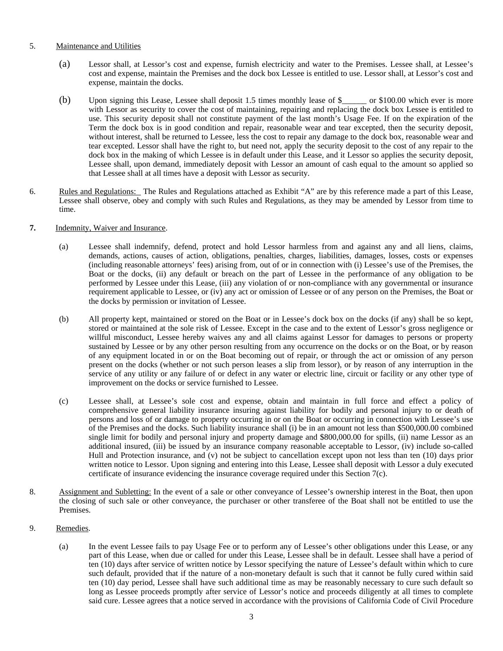#### 5. Maintenance and Utilities

- (a) Lessor shall, at Lessor's cost and expense, furnish electricity and water to the Premises. Lessee shall, at Lessee's cost and expense, maintain the Premises and the dock box Lessee is entitled to use. Lessor shall, at Lessor's cost and expense, maintain the docks.
- (b) Upon signing this Lease, Lessee shall deposit 1.5 times monthly lease of \$\_\_\_\_\_\_ or \$100.00 which ever is more with Lessor as security to cover the cost of maintaining, repairing and replacing the dock box Lessee is entitled to use. This security deposit shall not constitute payment of the last month's Usage Fee. If on the expiration of the Term the dock box is in good condition and repair, reasonable wear and tear excepted, then the security deposit, without interest, shall be returned to Lessee, less the cost to repair any damage to the dock box, reasonable wear and tear excepted. Lessor shall have the right to, but need not, apply the security deposit to the cost of any repair to the dock box in the making of which Lessee is in default under this Lease, and it Lessor so applies the security deposit, Lessee shall, upon demand, immediately deposit with Lessor an amount of cash equal to the amount so applied so that Lessee shall at all times have a deposit with Lessor as security.
- 6. Rules and Regulations: The Rules and Regulations attached as Exhibit "A" are by this reference made a part of this Lease, Lessee shall observe, obey and comply with such Rules and Regulations, as they may be amended by Lessor from time to time.

#### **7.** Indemnity, Waiver and Insurance.

- (a) Lessee shall indemnify, defend, protect and hold Lessor harmless from and against any and all liens, claims, demands, actions, causes of action, obligations, penalties, charges, liabilities, damages, losses, costs or expenses (including reasonable attorneys' fees) arising from, out of or in connection with (i) Lessee's use of the Premises, the Boat or the docks, (ii) any default or breach on the part of Lessee in the performance of any obligation to be performed by Lessee under this Lease, (iii) any violation of or non-compliance with any governmental or insurance requirement applicable to Lessee, or (iv) any act or omission of Lessee or of any person on the Premises, the Boat or the docks by permission or invitation of Lessee.
- (b) All property kept, maintained or stored on the Boat or in Lessee's dock box on the docks (if any) shall be so kept, stored or maintained at the sole risk of Lessee. Except in the case and to the extent of Lessor's gross negligence or willful misconduct, Lessee hereby waives any and all claims against Lessor for damages to persons or property sustained by Lessee or by any other person resulting from any occurrence on the docks or on the Boat, or by reason of any equipment located in or on the Boat becoming out of repair, or through the act or omission of any person present on the docks (whether or not such person leases a slip from lessor), or by reason of any interruption in the service of any utility or any failure of or defect in any water or electric line, circuit or facility or any other type of improvement on the docks or service furnished to Lessee.
- (c) Lessee shall, at Lessee's sole cost and expense, obtain and maintain in full force and effect a policy of comprehensive general liability insurance insuring against liability for bodily and personal injury to or death of persons and loss of or damage to property occurring in or on the Boat or occurring in connection with Lessee's use of the Premises and the docks. Such liability insurance shall (i) be in an amount not less than \$500,000.00 combined single limit for bodily and personal injury and property damage and \$800,000.00 for spills, (ii) name Lessor as an additional insured, (iii) be issued by an insurance company reasonable acceptable to Lessor, (iv) include so-called Hull and Protection insurance, and (v) not be subject to cancellation except upon not less than ten (10) days prior written notice to Lessor. Upon signing and entering into this Lease, Lessee shall deposit with Lessor a duly executed certificate of insurance evidencing the insurance coverage required under this Section 7(c).
- 8. Assignment and Subletting: In the event of a sale or other conveyance of Lessee's ownership interest in the Boat, then upon the closing of such sale or other conveyance, the purchaser or other transferee of the Boat shall not be entitled to use the Premises.
- 9. Remedies.
	- (a) In the event Lessee fails to pay Usage Fee or to perform any of Lessee's other obligations under this Lease, or any part of this Lease, when due or called for under this Lease, Lessee shall be in default. Lessee shall have a period of ten (10) days after service of written notice by Lessor specifying the nature of Lessee's default within which to cure such default, provided that if the nature of a non-monetary default is such that it cannot be fully cured within said ten (10) day period, Lessee shall have such additional time as may be reasonably necessary to cure such default so long as Lessee proceeds promptly after service of Lessor's notice and proceeds diligently at all times to complete said cure. Lessee agrees that a notice served in accordance with the provisions of California Code of Civil Procedure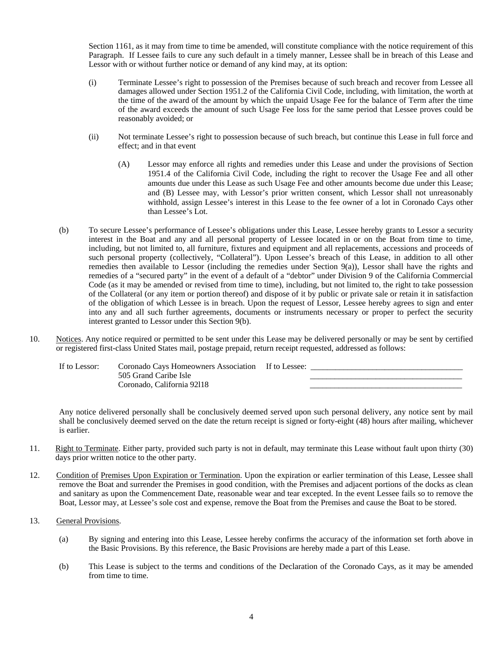Section 1161, as it may from time to time be amended, will constitute compliance with the notice requirement of this Paragraph. If Lessee fails to cure any such default in a timely manner, Lessee shall be in breach of this Lease and Lessor with or without further notice or demand of any kind may, at its option:

- (i) Terminate Lessee's right to possession of the Premises because of such breach and recover from Lessee all damages allowed under Section 1951.2 of the California Civil Code, including, with limitation, the worth at the time of the award of the amount by which the unpaid Usage Fee for the balance of Term after the time of the award exceeds the amount of such Usage Fee loss for the same period that Lessee proves could be reasonably avoided; or
- (ii) Not terminate Lessee's right to possession because of such breach, but continue this Lease in full force and effect; and in that event
	- (A) Lessor may enforce all rights and remedies under this Lease and under the provisions of Section 1951.4 of the California Civil Code, including the right to recover the Usage Fee and all other amounts due under this Lease as such Usage Fee and other amounts become due under this Lease; and (B) Lessee may, with Lessor's prior written consent, which Lessor shall not unreasonably withhold, assign Lessee's interest in this Lease to the fee owner of a lot in Coronado Cays other than Lessee's Lot.
- (b) To secure Lessee's performance of Lessee's obligations under this Lease, Lessee hereby grants to Lessor a security interest in the Boat and any and all personal property of Lessee located in or on the Boat from time to time, including, but not limited to, all furniture, fixtures and equipment and all replacements, accessions and proceeds of such personal property (collectively, "Collateral"). Upon Lessee's breach of this Lease, in addition to all other remedies then available to Lessor (including the remedies under Section 9(a)), Lessor shall have the rights and remedies of a "secured party" in the event of a default of a "debtor" under Division 9 of the California Commercial Code (as it may be amended or revised from time to time), including, but not limited to, the right to take possession of the Collateral (or any item or portion thereof) and dispose of it by public or private sale or retain it in satisfaction of the obligation of which Lessee is in breach. Upon the request of Lessor, Lessee hereby agrees to sign and enter into any and all such further agreements, documents or instruments necessary or proper to perfect the security interest granted to Lessor under this Section 9(b).
- 10. Notices. Any notice required or permitted to be sent under this Lease may be delivered personally or may be sent by certified or registered first-class United States mail, postage prepaid, return receipt requested, addressed as follows:

If to Lessor: Coronado Cays Homeowners Association If to Lessee: 505 Grand Caribe Isle Coronado, California 92l18 \_\_\_\_\_\_\_\_\_\_\_\_\_\_\_\_\_\_\_\_\_\_\_\_\_\_\_\_\_\_\_\_\_\_\_\_\_

Any notice delivered personally shall be conclusively deemed served upon such personal delivery, any notice sent by mail shall be conclusively deemed served on the date the return receipt is signed or forty-eight (48) hours after mailing, whichever is earlier.

- 11. Right to Terminate. Either party, provided such party is not in default, may terminate this Lease without fault upon thirty (30) days prior written notice to the other party.
- 12. Condition of Premises Upon Expiration or Termination. Upon the expiration or earlier termination of this Lease, Lessee shall remove the Boat and surrender the Premises in good condition, with the Premises and adjacent portions of the docks as clean and sanitary as upon the Commencement Date, reasonable wear and tear excepted. In the event Lessee fails so to remove the Boat, Lessor may, at Lessee's sole cost and expense, remove the Boat from the Premises and cause the Boat to be stored.
- 13. General Provisions.
	- (a) By signing and entering into this Lease, Lessee hereby confirms the accuracy of the information set forth above in the Basic Provisions. By this reference, the Basic Provisions are hereby made a part of this Lease.
	- (b) This Lease is subject to the terms and conditions of the Declaration of the Coronado Cays, as it may be amended from time to time.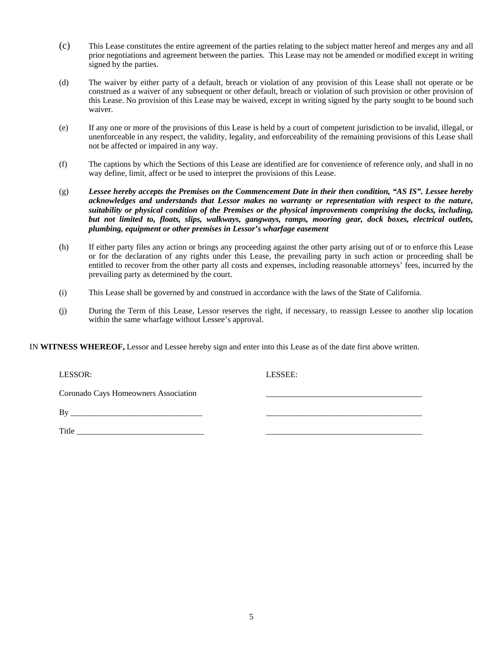- (c) This Lease constitutes the entire agreement of the parties relating to the subject matter hereof and merges any and all prior negotiations and agreement between the parties. This Lease may not be amended or modified except in writing signed by the parties.
- (d) The waiver by either party of a default, breach or violation of any provision of this Lease shall not operate or be construed as a waiver of any subsequent or other default, breach or violation of such provision or other provision of this Lease. No provision of this Lease may be waived, except in writing signed by the party sought to be bound such waiver.
- (e) If any one or more of the provisions of this Lease is held by a court of competent jurisdiction to be invalid, illegal, or unenforceable in any respect, the validity, legality, and enforceability of the remaining provisions of this Lease shall not be affected or impaired in any way.
- (f) The captions by which the Sections of this Lease are identified are for convenience of reference only, and shall in no way define, limit, affect or be used to interpret the provisions of this Lease.
- (g) *Lessee hereby accepts the Premises on the Commencement Date in their then condition, "AS IS". Lessee hereby acknowledges and understands that Lessor makes no warranty or representation with respect to the nature, suitability or physical condition of the Premises or the physical improvements comprising the docks, including, but not limited to, floats, slips, walkways, gangways, ramps, mooring gear, dock boxes, electrical outlets, plumbing, equipment or other premises in Lessor's wharfage easement*
- (h) If either party files any action or brings any proceeding against the other party arising out of or to enforce this Lease or for the declaration of any rights under this Lease, the prevailing party in such action or proceeding shall be entitled to recover from the other party all costs and expenses, including reasonable attorneys' fees, incurred by the prevailing party as determined by the court.
- (i) This Lease shall be governed by and construed in accordance with the laws of the State of California.
- (j) During the Term of this Lease, Lessor reserves the right, if necessary, to reassign Lessee to another slip location within the same wharfage without Lessee's approval.

IN **WITNESS WHEREOF,** Lessor and Lessee hereby sign and enter into this Lease as of the date first above written.

LESSOR: LESSEE:

Coronado Cays Homeowners Association \_\_\_\_\_\_\_\_\_\_\_\_\_\_\_\_\_\_\_\_\_\_\_\_\_\_\_\_\_\_\_\_\_\_\_\_\_\_

 $\rm\,By$ 

Title <u>matrice</u>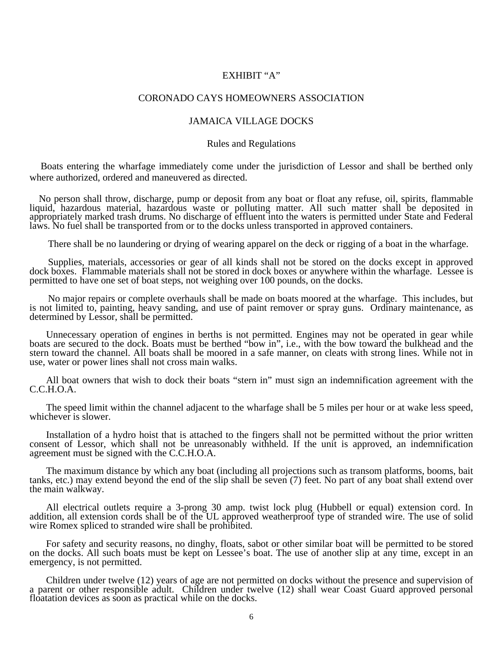## EXHIBIT "A"

#### CORONADO CAYS HOMEOWNERS ASSOCIATION

## JAMAICA VILLAGE DOCKS

#### Rules and Regulations

Boats entering the wharfage immediately come under the jurisdiction of Lessor and shall be berthed only where authorized, ordered and maneuvered as directed.

No person shall throw, discharge, pump or deposit from any boat or float any refuse, oil, spirits, flammable liquid, hazardous material, hazardous waste or polluting matter. All such matter shall be deposited in appropriately marked trash drums. No discharge of effluent into the waters is permitted under State and Federal laws. No fuel shall be transported from or to the docks unless transported in approved containers.

There shall be no laundering or drying of wearing apparel on the deck or rigging of a boat in the wharfage.

 Supplies, materials, accessories or gear of all kinds shall not be stored on the docks except in approved dock boxes. Flammable materials shall not be stored in dock boxes or anywhere within the wharfage. Lessee is permitted to have one set of boat steps, not weighing over 100 pounds, on the docks.

 No major repairs or complete overhauls shall be made on boats moored at the wharfage. This includes, but is not limited to, painting, heavy sanding, and use of paint remover or spray guns. Ordinary maintenance, as determined by Lessor, shall be permitted.

Unnecessary operation of engines in berths is not permitted. Engines may not be operated in gear while boats are secured to the dock. Boats must be berthed "bow in", i.e., with the bow toward the bulkhead and the stern toward the channel. All boats shall be moored in a safe manner, on cleats with strong lines. While not in use, water or power lines shall not cross main walks.

 All boat owners that wish to dock their boats "stern in" must sign an indemnification agreement with the C.C.H.O.A.

The speed limit within the channel adjacent to the wharfage shall be 5 miles per hour or at wake less speed, whichever is slower.

Installation of a hydro hoist that is attached to the fingers shall not be permitted without the prior written consent of Lessor, which shall not be unreasonably withheld. If the unit is approved, an indemnification agreement must be signed with the C.C.H.O.A.

The maximum distance by which any boat (including all projections such as transom platforms, booms, bait tanks, etc.) may extend beyond the end of the slip shall be seven (7) feet. No part of any boat shall extend over the main walkway.

All electrical outlets require a 3-prong 30 amp. twist lock plug (Hubbell or equal) extension cord. In addition, all extension cords shall be of the UL approved weatherproof type of stranded wire. The use of solid wire Romex spliced to stranded wire shall be prohibited.

For safety and security reasons, no dinghy, floats, sabot or other similar boat will be permitted to be stored on the docks. All such boats must be kept on Lessee's boat. The use of another slip at any time, except in an emergency, is not permitted.

Children under twelve (12) years of age are not permitted on docks without the presence and supervision of a parent or other responsible adult. Children under twelve (12) shall wear Coast Guard approved personal floatation devices as soon as practical while on the docks.